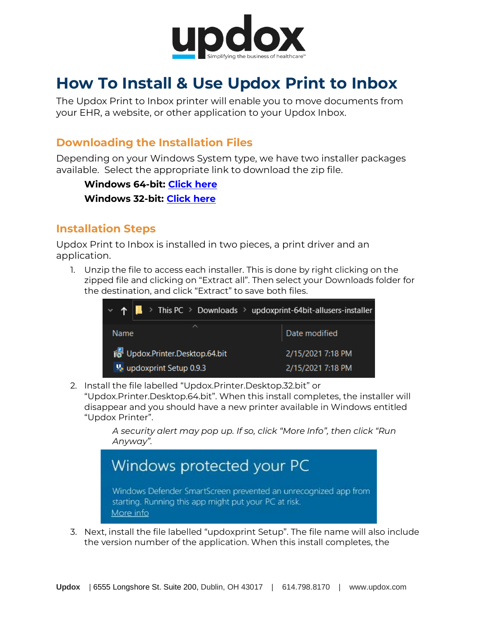

# **How To Install & Use Updox Print to Inbox**

The Updox Print to Inbox printer will enable you to move documents from your EHR, a website, or other application to your Updox Inbox.

## **Downloading the Installation Files**

Depending on your Windows System type, we have two installer packages available. Select the appropriate link to download the zip file.

**Windows 64-bit: [Click here](https://updox-print.s3.us-east-2.amazonaws.com/win/installer/updoxprint-64bit-allusers-installer.zip) Windows 32-bit: [Click here](https://updox-print.s3.us-east-2.amazonaws.com/win/installer/updoxprint-32bit-allusers-installer.zip)**

## **Installation Steps**

Updox Print to Inbox is installed in two pieces, a print driver and an application.

1. Unzip the file to access each installer. This is done by right clicking on the zipped file and clicking on "Extract all". Then select your Downloads folder for the destination, and click "Extract" to save both files.



2. Install the file labelled "Updox.Printer.Desktop.32.bit" or

"Updox.Printer.Desktop.64.bit". When this install completes, the installer will disappear and you should have a new printer available in Windows entitled "Updox Printer".

*A security alert may pop up. If so, click "More Info", then click "Run Anyway".*



3. Next, install the file labelled "updoxprint Setup". The file name will also include the version number of the application. When this install completes, the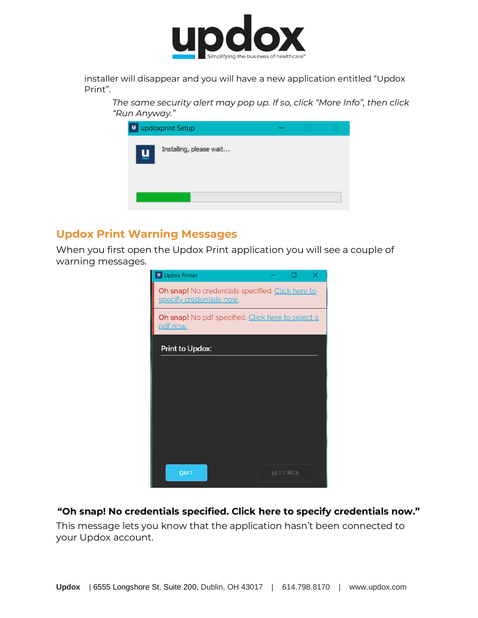

installer will disappear and you will have a new application entitled "Updox Print".

*The same security alert may pop up. If so, click "More Info", then click "Run Anyway."*

| ∣⊔ | updoxprint Setup        |  |  |
|----|-------------------------|--|--|
| 凹  | Installing, please wait |  |  |
|    |                         |  |  |

#### **Updox Print Warning Messages**

When you first open the Updox Print application you will see a couple of warning messages.

| Updox Printer                                                                | $\times$        |
|------------------------------------------------------------------------------|-----------------|
| Oh snap! No credentials specified. Click here to<br>specify credentials now. |                 |
| Oh snap! No pdf specified. Click here to select a<br>pdf now.                |                 |
| Print to Updox:                                                              |                 |
|                                                                              |                 |
|                                                                              |                 |
|                                                                              |                 |
|                                                                              |                 |
|                                                                              |                 |
| QUIT                                                                         | <b>SETTINGS</b> |

#### **"Oh snap! No credentials specified. Click here to specify credentials now."**

This message lets you know that the application hasn't been connected to your Updox account.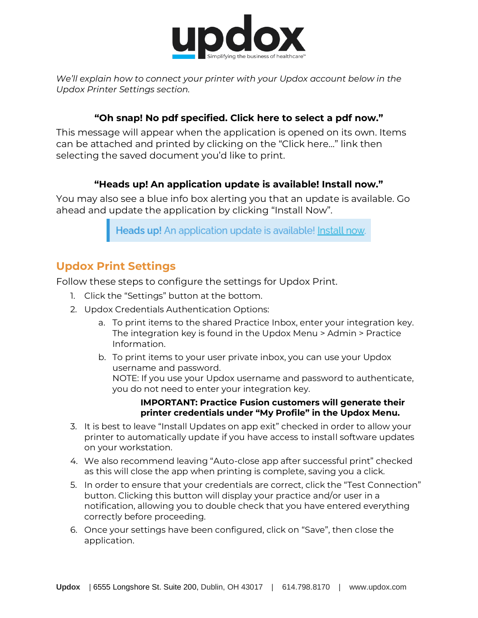

*We'll explain how to connect your printer with your Updox account below in the Updox Printer Settings section.*

#### **"Oh snap! No pdf specified. Click here to select a pdf now."**

This message will appear when the application is opened on its own. Items can be attached and printed by clicking on the "Click here…" link then selecting the saved document you'd like to print.

#### **"Heads up! An application update is available! Install now."**

You may also see a blue info box alerting you that an update is available. Go ahead and update the application by clicking "Install Now".

Heads up! An application update is available! Install now.

## **Updox Print Settings**

Follow these steps to configure the settings for Updox Print.

- 1. Click the "Settings" button at the bottom.
- 2. Updox Credentials Authentication Options:
	- a. To print items to the shared Practice Inbox, enter your integration key. The integration key is found in the Updox Menu > Admin > Practice Information.
	- b. To print items to your user private inbox, you can use your Updox username and password. NOTE: If you use your Updox username and password to authenticate, you do not need to enter your integration key.

#### **IMPORTANT: Practice Fusion customers will generate their printer credentials under "My Profile" in the Updox Menu.**

- 3. It is best to leave "Install Updates on app exit" checked in order to allow your printer to automatically update if you have access to install software updates on your workstation.
- 4. We also recommend leaving "Auto-close app after successful print" checked as this will close the app when printing is complete, saving you a click.
- 5. In order to ensure that your credentials are correct, click the "Test Connection" button. Clicking this button will display your practice and/or user in a notification, allowing you to double check that you have entered everything correctly before proceeding.
- 6. Once your settings have been configured, click on "Save", then close the application.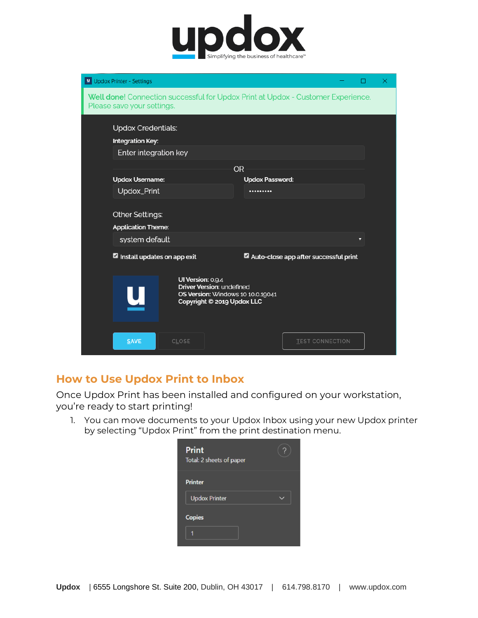

| U Updox Printer - Settings                                                                                     |                                                                                                                                 |                            |                                       | × |
|----------------------------------------------------------------------------------------------------------------|---------------------------------------------------------------------------------------------------------------------------------|----------------------------|---------------------------------------|---|
| Well done! Connection successful for Updox Print at Updox - Customer Experience.<br>Please save your settings. |                                                                                                                                 |                            |                                       |   |
| <b>Updox Credentials:</b><br><b>Integration Key:</b><br>Enter integration key                                  |                                                                                                                                 |                            |                                       |   |
|                                                                                                                |                                                                                                                                 | <b>OR</b>                  |                                       |   |
| <b>Updox Username:</b><br>Updox_Print                                                                          |                                                                                                                                 | <b>Updox Password:</b><br> |                                       |   |
| Other Settings:<br><b>Application Theme:</b><br>system default                                                 |                                                                                                                                 |                            |                                       | Ω |
| Install updates on app exit                                                                                    |                                                                                                                                 |                            | Auto-close app after successful print |   |
|                                                                                                                | UI Version: 0.9.4<br><b>Driver Version: undefined</b><br><b>OS Version: Windows 10 10.0.19041</b><br>Copyright © 2019 Updox LLC |                            |                                       |   |
| <b>SAVE</b>                                                                                                    | CLOSE                                                                                                                           |                            | <b>TEST CONNECTION</b>                |   |

### **How to Use Updox Print to Inbox**

Once Updox Print has been installed and configured on your workstation, you're ready to start printing!

1. You can move documents to your Updox Inbox using your new Updox printer by selecting "Updox Print" from the print destination menu.

| <b>Print</b><br>Total: 2 sheets of paper |  |
|------------------------------------------|--|
| <b>Printer</b>                           |  |
| <b>Updox Printer</b>                     |  |
| <b>Copies</b>                            |  |
|                                          |  |
|                                          |  |